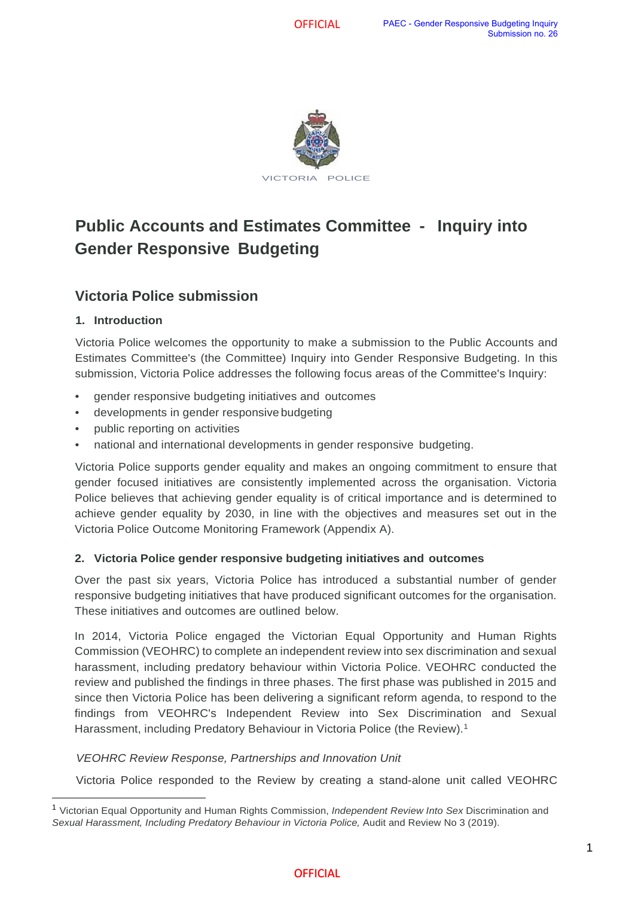

# **Public Accounts and Estimates Committee - Inquiry into Gender Responsive Budgeting**

### **Victoria Police submission**

### **1. Introduction**

Victoria Police welcomes the opportunity to make a submission to the Public Accounts and Estimates Committee's (the Committee) Inquiry into Gender Responsive Budgeting. In this submission, Victoria Police addresses the following focus areas of the Committee's Inquiry:

- gender responsive budgeting initiatives and outcomes
- developments in gender responsive budgeting
- public reporting on activities
- national and international developments in gender responsive budgeting.

Victoria Police supports gender equality and makes an ongoing commitment to ensure that gender focused initiatives are consistently implemented across the organisation. Victoria Police believes that achieving gender equality is of critical importance and is determined to achieve gender equality by 2030, in line with the objectives and measures set out in the Victoria Police Outcome Monitoring Framework (Appendix A).

#### **2. Victoria Police gender responsive budgeting initiatives and outcomes**

Over the past six years, Victoria Police has introduced a substantial number of gender responsive budgeting initiatives that have produced significant outcomes for the organisation. These initiatives and outcomes are outlined below.

In 2014, Victoria Police engaged the Victorian Equal Opportunity and Human Rights Commission (VEOHRC) to complete an independent review into sex discrimination and sexual harassment, including predatory behaviour within Victoria Police. VEOHRC conducted the review and published the findings in three phases. The first phase was published in 2015 and since then Victoria Police has been delivering a significant reform agenda, to respond to the findings from VEOHRC's Independent Review into Sex Discrimination and Sexual Harassment, including Predatory Behaviour in Victoria Police (the Review).<sup>[1](#page-0-0)</sup>

#### *VEOHRC Review Response, Partnerships and Innovation Unit*

Victoria Police responded to the Review by creating a stand-alone unit called VEOHRC

<span id="page-0-0"></span><sup>1</sup> Victorian Equal Opportunity and Human Rights Commission, *Independent Review Into Sex* Discrimination and Sexual Harassment, *Including Predatory Behaviour in Victoria Police*, Audit and Review No 3 (2019).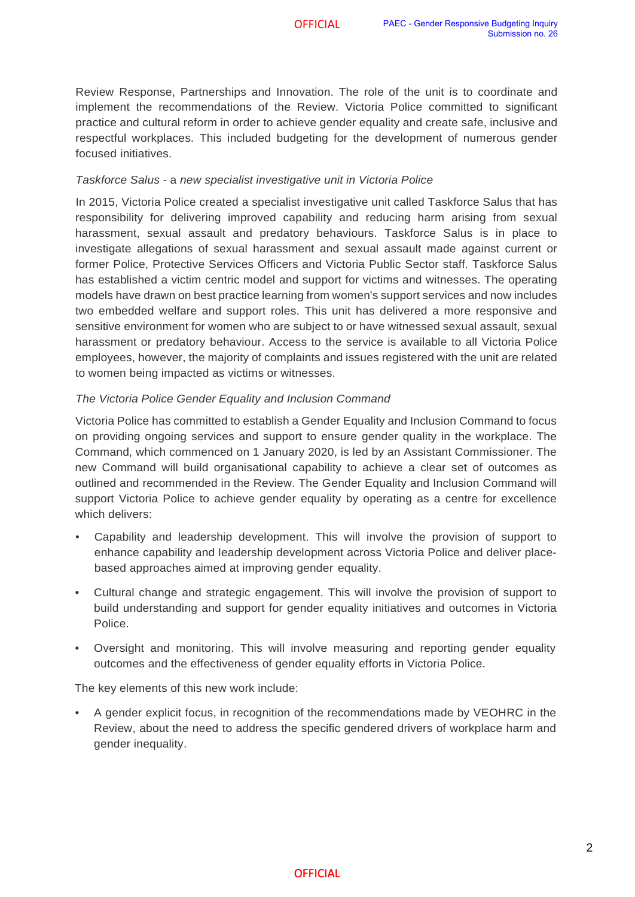Review Response, Partnerships and Innovation. The role of the unit is to coordinate and implement the recommendations of the Review. Victoria Police committed to significant practice and cultural reform in order to achieve gender equality and create safe, inclusive and respectful workplaces. This included budgeting for the development of numerous gender focused initiatives.

#### *Taskforce Salus* - a *new specialist investigative unit in Victoria Police*

In 2015, Victoria Police created a specialist investigative unit called Taskforce Salus that has responsibility for delivering improved capability and reducing harm arising from sexual harassment, sexual assault and predatory behaviours. Taskforce Salus is in place to investigate allegations of sexual harassment and sexual assault made against current or former Police, Protective Services Officers and Victoria Public Sector staff. Taskforce Salus has established a victim centric model and support for victims and witnesses. The operating models have drawn on best practice learning from women's support services and now includes two embedded welfare and support roles. This unit has delivered a more responsive and sensitive environment for women who are subject to or have witnessed sexual assault, sexual harassment or predatory behaviour. Access to the service is available to all Victoria Police employees, however, the majority of complaints and issues registered with the unit are related to women being impacted as victims or witnesses.

#### *The Victoria Police Gender Equality and Inclusion Command*

Victoria Police has committed to establish a Gender Equality and Inclusion Command to focus on providing ongoing services and support to ensure gender quality in the workplace. The Command, which commenced on 1 January 2020, is led by an Assistant Commissioner. The new Command will build organisational capability to achieve a clear set of outcomes as outlined and recommended in the Review. The Gender Equality and Inclusion Command will support Victoria Police to achieve gender equality by operating as a centre for excellence which delivers:

- Capability and leadership development. This will involve the provision of support to enhance capability and leadership development across Victoria Police and deliver placebased approaches aimed at improving gender equality.
- Cultural change and strategic engagement. This will involve the provision of support to build understanding and support for gender equality initiatives and outcomes in Victoria Police.
- Oversight and monitoring. This will involve measuring and reporting gender equality outcomes and the effectiveness of gender equality efforts in Victoria Police.

The key elements of this new work include:

• A gender explicit focus, in recognition of the recommendations made by VEOHRC in the Review, about the need to address the specific gendered drivers of workplace harm and gender inequality.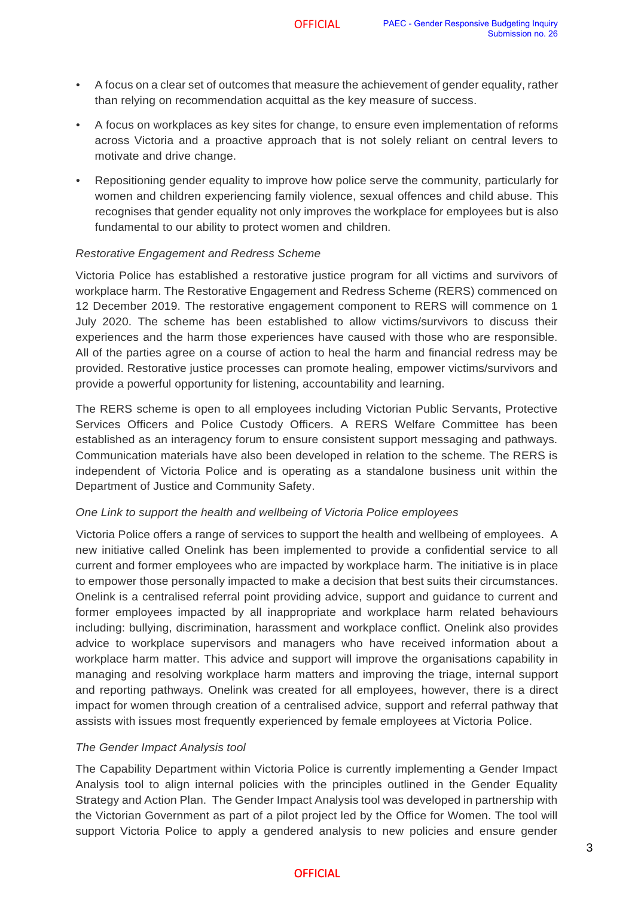- A focus on a clear set of outcomes that measure the achievement of gender equality, rather than relying on recommendation acquittal as the key measure of success.
- A focus on workplaces as key sites for change, to ensure even implementation of reforms across Victoria and a proactive approach that is not solely reliant on central levers to motivate and drive change.
- Repositioning gender equality to improve how police serve the community, particularly for women and children experiencing family violence, sexual offences and child abuse. This recognises that gender equality not only improves the workplace for employees but is also fundamental to our ability to protect women and children.

#### *Restorative Engagement and Redress Scheme*

Victoria Police has established a restorative justice program for all victims and survivors of workplace harm. The Restorative Engagement and Redress Scheme (RERS) commenced on 12 December 2019. The restorative engagement component to RERS will commence on 1 July 2020. The scheme has been established to allow victims/survivors to discuss their experiences and the harm those experiences have caused with those who are responsible. All of the parties agree on a course of action to heal the harm and financial redress may be provided. Restorative justice processes can promote healing, empower victims/survivors and provide a powerful opportunity for listening, accountability and learning.

The RERS scheme is open to all employees including Victorian Public Servants, Protective Services Officers and Police Custody Officers. A RERS Welfare Committee has been established as an interagency forum to ensure consistent support messaging and pathways. Communication materials have also been developed in relation to the scheme. The RERS is independent of Victoria Police and is operating as a standalone business unit within the Department of Justice and Community Safety.

#### *One Link to support the health and wellbeing of Victoria Police employees*

Victoria Police offers a range of services to support the health and wellbeing of employees. A new initiative called Onelink has been implemented to provide a confidential service to all current and former employees who are impacted by workplace harm. The initiative is in place to empower those personally impacted to make a decision that best suits their circumstances. Onelink is a centralised referral point providing advice, support and guidance to current and former employees impacted by all inappropriate and workplace harm related behaviours including: bullying, discrimination, harassment and workplace conflict. Onelink also provides advice to workplace supervisors and managers who have received information about a workplace harm matter. This advice and support will improve the organisations capability in managing and resolving workplace harm matters and improving the triage, internal support and reporting pathways. Onelink was created for all employees, however, there is a direct impact for women through creation of a centralised advice, support and referral pathway that assists with issues most frequently experienced by female employees at Victoria Police.

#### *The Gender Impact Analysis tool*

. Analysis tool to align internal policies with the principles outlined in the Gender Equality The Capability Department within Victoria Police is currently implementing a Gender Impact Strategy and Action Plan. The Gender Impact Analysis tool was developed in partnership with the Victorian Government as part of a pilot project led by the Office for Women. The tool will support Victoria Police to apply a gendered analysis to new policies and ensure gender

#### **OFFICIAL**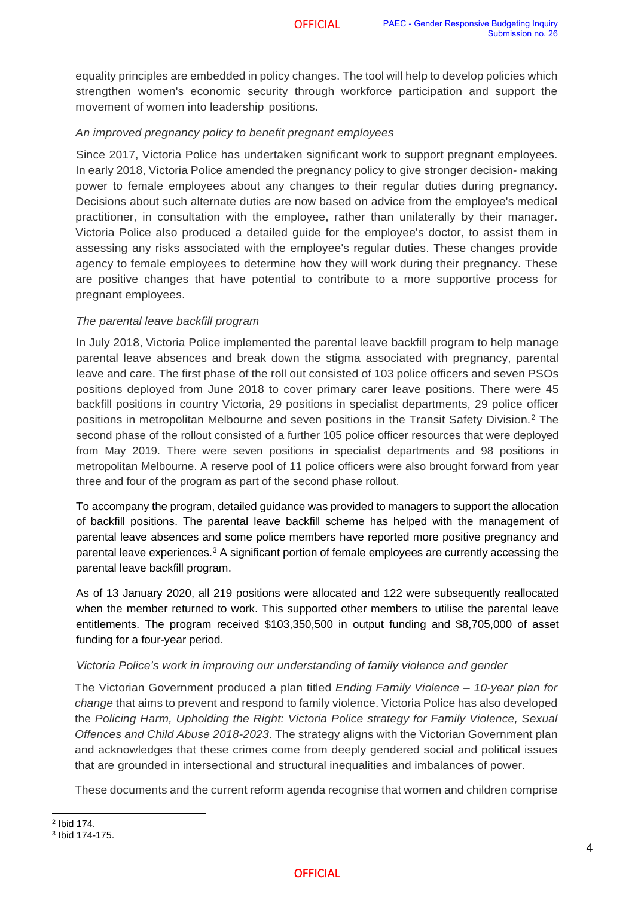equality principles are embedded in policy changes. The tool will help to develop policies which strengthen women's economic security through workforce participation and support the movement of women into leadership positions.

#### *An improved pregnancy policy to benefit pregnant employees*

Since 2017, Victoria Police has undertaken significant work to support pregnant employees. In early 2018, Victoria Police amended the pregnancy policy to give stronger decision- making power to female employees about any changes to their regular duties during pregnancy. Decisions about such alternate duties are now based on advice from the employee's medical practitioner, in consultation with the employee, rather than unilaterally by their manager. Victoria Police also produced a detailed guide for the employee's doctor, to assist them in assessing any risks associated with the employee's regular duties. These changes provide agency to female employees to determine how they will work during their pregnancy. These are positive changes that have potential to contribute to a more supportive process for pregnant employees.

#### *The parental leave backfill program*

In July 2018, Victoria Police implemented the parental leave backfill program to help manage parental leave absences and break down the stigma associated with pregnancy, parental leave and care. The first phase of the roll out consisted of 103 police officers and seven PSOs positions deployed from June 2018 to cover primary carer leave positions. There were 45 backfill positions in country Victoria, 29 positions in specialist departments, 29 police officer positions in metropolitan Melbourne and seven positions in the Transit Safety Division.<sup>[2](#page-3-0)</sup> The second phase of the rollout consisted of a further 105 police officer resources that were deployed from May 2019. There were seven positions in specialist departments and 98 positions in metropolitan Melbourne. A reserve pool of 11 police officers were also brought forward from year three and four of the program as part of the second phase rollout.

To accompany the program, detailed guidance was provided to managers to support the allocation of backfill positions. The parental leave backfill scheme has helped with the management of parental leave absences and some police members have reported more positive pregnancy and parental leave experiences.[3](#page-3-1) A significant portion of female employees are currently accessing the parental leave backfill program.

As of 13 January 2020, all 219 positions were allocated and 122 were subsequently reallocated when the member returned to work. This supported other members to utilise the parental leave entitlements. The program received \$103,350,500 in output funding and \$8,705,000 of asset funding for a four-year period.

#### *Victoria Police's work in improving our understanding of family violence and gender*

The Victorian Government produced a plan titled *Ending Family Violence – 10-year plan for change* that aims to prevent and respond to family violence. Victoria Police has also developed the *Policing Harm, Upholding the Right: Victoria Police strategy for Family Violence, Sexual Offences and Child Abuse 2018-2023*. The strategy aligns with the Victorian Government plan and acknowledges that these crimes come from deeply gendered social and political issues that are grounded in intersectional and structural inequalities and imbalances of power.

These documents and the current reform agenda recognise that women and children comprise

<span id="page-3-0"></span><sup>2</sup> Ibid 174.

<span id="page-3-1"></span><sup>3</sup> Ibid 174-175.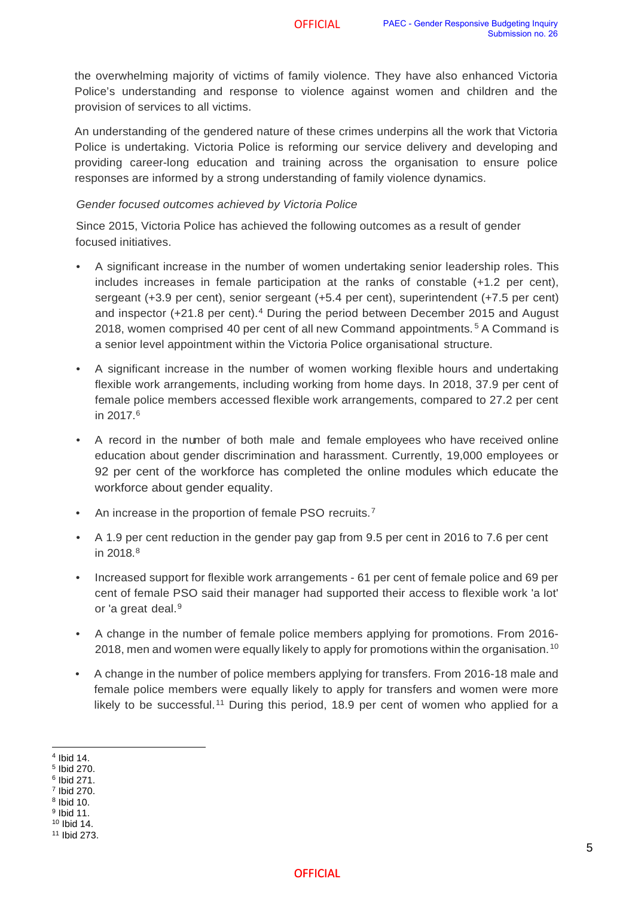the overwhelming majority of victims of family violence. They have also enhanced Victoria Police's understanding and response to violence against women and children and the provision of services to all victims.

An understanding of the gendered nature of these crimes underpins all the work that Victoria Police is undertaking. Victoria Police is reforming our service delivery and developing and providing career-long education and training across the organisation to ensure police responses are informed by a strong understanding of family violence dynamics.

#### *Gender focused outcomes achieved by Victoria Police*

Since 2015, Victoria Police has achieved the following outcomes as a result of gender focused initiatives.

- A significant increase in the number of women undertaking senior leadership roles. This includes increases in female participation at the ranks of constable (+1.2 per cent), sergeant (+3.9 per cent), senior sergeant (+5.4 per cent), superintendent (+7.5 per cent) and inspector (+21.8 per cent).<sup>[4](#page-4-0)</sup> During the period between December 2015 and August 2018, women comprised 40 per cent of all new Command appointments. [5](#page-4-1) A Command is a senior level appointment within the Victoria Police organisational structure.
- A significant increase in the number of women working flexible hours and undertaking flexible work arrangements, including working from home days. In 2018, 37.9 per cent of female police members accessed flexible work arrangements, compared to 27.2 per cent in 2017.<sup>[6](#page-4-2)</sup>
- A record in the number of both male and female employees who have received online education about gender discrimination and harassment. Currently, 19,000 employees or 92 per cent of the workforce has completed the online modules which educate the workforce about gender equality.
- An increase in the proportion of female PSO recruits.<sup>[7](#page-4-3)</sup>
- A 1.9 per cent reduction in the gender pay gap from 9.5 per cent in 2016 to 7.6 per cent in 201[8](#page-4-4). $8$
- Increased support for flexible work arrangements 61 per cent of female police and 69 per cent of female PSO said their manager had supported their access to flexible work 'a lot' or 'a great deal.<sup>[9](#page-4-5)</sup>
- A change in the number of female police members applying for promotions. From 2016- 2018, men and women were equally likely to apply for promotions within the organisation.<sup>[10](#page-4-6)</sup>
- A change in the number of police members applying for transfers. From 2016-18 male and female police members were equally likely to apply for transfers and women were more likely to be successful.<sup>[11](#page-4-7)</sup> During this period, 18.9 per cent of women who applied for a

<span id="page-4-0"></span><sup>4</sup> Ibid 14.

<span id="page-4-1"></span><sup>5</sup> Ibid 270.

<span id="page-4-2"></span><sup>6</sup> Ibid 271.

<span id="page-4-3"></span><sup>7</sup> Ibid 270.

<span id="page-4-4"></span><sup>8</sup> Ibid 10. <sup>9</sup> Ibid 11.

<span id="page-4-6"></span><span id="page-4-5"></span><sup>10</sup> Ibid 14.

<span id="page-4-7"></span><sup>11</sup> Ibid 273.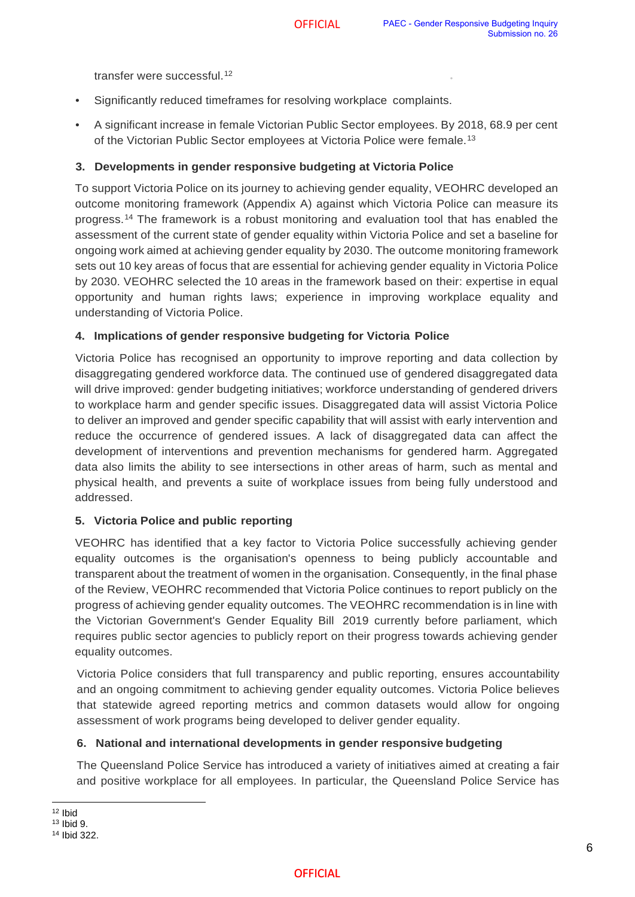transfer were successful.<sup>[12](#page-5-0)</sup>

- Significantly reduced timeframes for resolving workplace complaints.
- A significant increase in female Victorian Public Sector employees. By 2018, 68.9 per cent of the Victorian Public Sector employees at Victoria Police were female.[13](#page-5-1)

#### **3. Developments in gender responsive budgeting at Victoria Police**

To support Victoria Police on its journey to achieving gender equality, VEOHRC developed an outcome monitoring framework (Appendix A) against which Victoria Police can measure its progress.[14](#page-5-2) The framework is a robust monitoring and evaluation tool that has enabled the assessment of the current state of gender equality within Victoria Police and set a baseline for ongoing work aimed at achieving gender equality by 2030. The outcome monitoring framework sets out 10 key areas of focus that are essential for achieving gender equality in Victoria Police by 2030. VEOHRC selected the 10 areas in the framework based on their: expertise in equal opportunity and human rights laws; experience in improving workplace equality and understanding of Victoria Police.

#### **4. Implications of gender responsive budgeting for Victoria Police**

Victoria Police has recognised an opportunity to improve reporting and data collection by disaggregating gendered workforce data. The continued use of gendered disaggregated data will drive improved: gender budgeting initiatives; workforce understanding of gendered drivers to workplace harm and gender specific issues. Disaggregated data will assist Victoria Police to deliver an improved and gender specific capability that will assist with early intervention and reduce the occurrence of gendered issues. A lack of disaggregated data can affect the development of interventions and prevention mechanisms for gendered harm. Aggregated data also limits the ability to see intersections in other areas of harm, such as mental and physical health, and prevents a suite of workplace issues from being fully understood and addressed.

#### **5. Victoria Police and public reporting**

VEOHRC has identified that a key factor to Victoria Police successfully achieving gender equality outcomes is the organisation's openness to being publicly accountable and transparent about the treatment of women in the organisation. Consequently, in the final phase of the Review, VEOHRC recommended that Victoria Police continues to report publicly on the progress of achieving gender equality outcomes. The VEOHRC recommendation is in line with the Victorian Government's Gender Equality Bill 2019 currently before parliament, which requires public sector agencies to publicly report on their progress towards achieving gender equality outcomes.

Victoria Police considers that full transparency and public reporting, ensures accountability and an ongoing commitment to achieving gender equality outcomes. Victoria Police believes that statewide agreed reporting metrics and common datasets would allow for ongoing assessment of work programs being developed to deliver gender equality.

#### **6. National and international developments in gender responsive budgeting**

The Queensland Police Service has introduced a variety of initiatives aimed at creating a fair and positive workplace for all employees. In particular, the Queensland Police Service has

#### **OFFICIAL**

<span id="page-5-0"></span><sup>12</sup> Ibid

<span id="page-5-1"></span><sup>13</sup> Ibid 9.

<span id="page-5-2"></span><sup>14</sup> Ibid 322.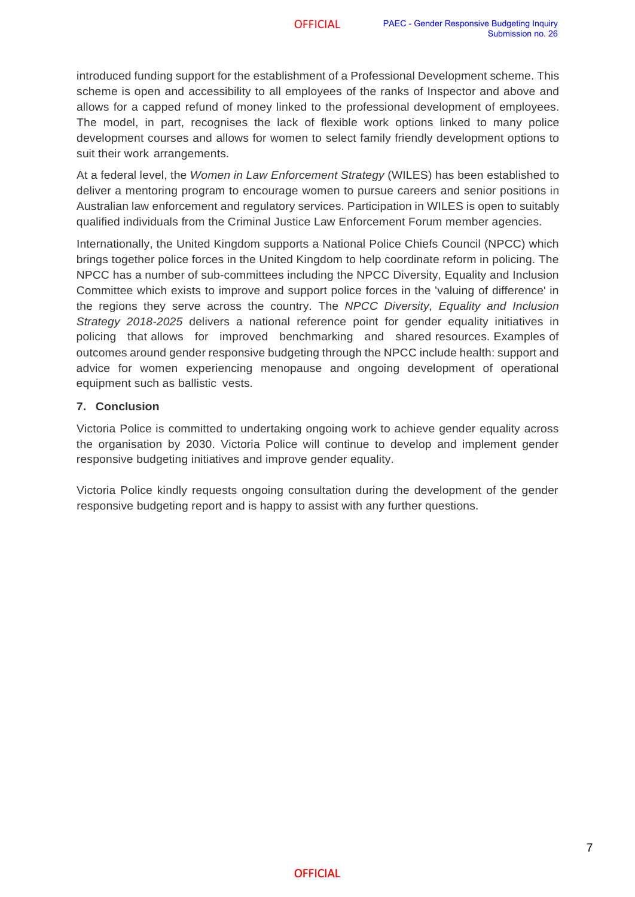introduced funding support for the establishment of a Professional Development scheme. This scheme is open and accessibility to all employees of the ranks of Inspector and above and allows for a capped refund of money linked to the professional development of employees. The model, in part, recognises the lack of flexible work options linked to many police development courses and allows for women to select family friendly development options to suit their work arrangements.

At a federal level, the *Women in Law Enforcement Strategy* (WILES) has been established to deliver a mentoring program to encourage women to pursue careers and senior positions in Australian law enforcement and regulatory services. Participation in WILES is open to suitably qualified individuals from the Criminal Justice Law Enforcement Forum member agencies.

Internationally, the United Kingdom supports a National Police Chiefs Council (NPCC) which brings together police forces in the United Kingdom to help coordinate reform in policing. The NPCC has a number of sub-committees including the NPCC Diversity, Equality and Inclusion Committee which exists to improve and support police forces in the 'valuing of difference' in the regions they serve across the country. The *NPCC Diversity, Equality and Inclusion Strategy 2018-2025* delivers a national reference point for gender equality initiatives in policing that allows for improved benchmarking and shared resources. Examples of outcomes around gender responsive budgeting through the NPCC include health: support and advice for women experiencing menopause and ongoing development of operational equipment such as ballistic vests.

#### **7. Conclusion**

Victoria Police is committed to undertaking ongoing work to achieve gender equality across the organisation by 2030. Victoria Police will continue to develop and implement gender responsive budgeting initiatives and improve gender equality.

Victoria Police kindly requests ongoing consultation during the development of the gender responsive budgeting report and is happy to assist with any further questions.